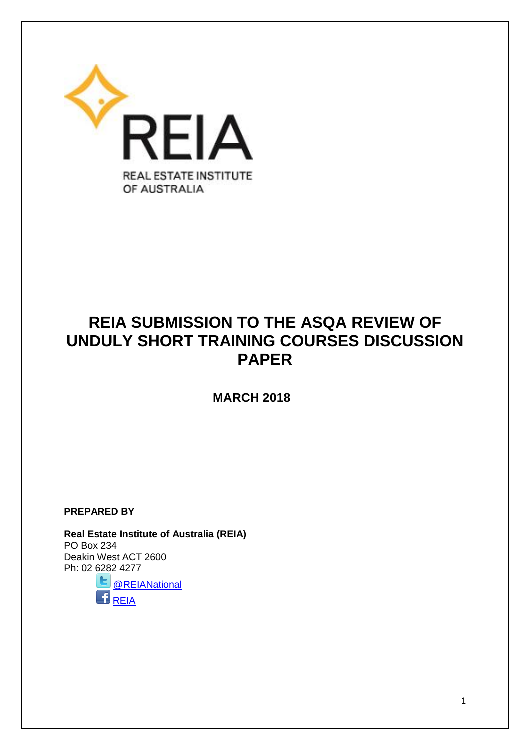

# **REIA SUBMISSION TO THE ASQA REVIEW OF UNDULY SHORT TRAINING COURSES DISCUSSION PAPER**

 **MARCH 2018**

**PREPARED BY**

**Real Estate Institute of Australia (REIA)**  PO Box 234 Deakin West ACT 2600 Ph: 02 [6282](https://twitter.com/REIANational) 4277

Е. [@REIANational](https://twitter.com/REIANational)  $\overline{\mathbf{B}}_{\overline{\text{REIA}}}^ \overline{\mathbf{B}}_{\overline{\text{REIA}}}^ \overline{\mathbf{B}}_{\overline{\text{REIA}}}^-$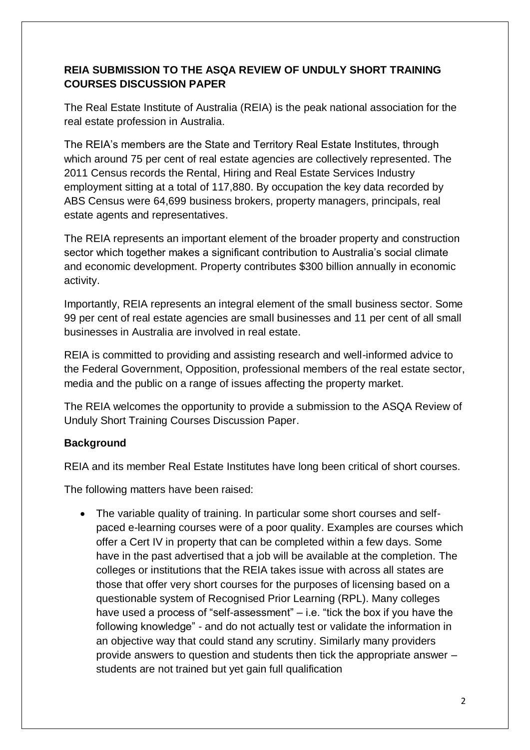## **REIA SUBMISSION TO THE ASQA REVIEW OF UNDULY SHORT TRAINING COURSES DISCUSSION PAPER**

The Real Estate Institute of Australia (REIA) is the peak national association for the real estate profession in Australia.

The REIA's members are the State and Territory Real Estate Institutes, through which around 75 per cent of real estate agencies are collectively represented. The 2011 Census records the Rental, Hiring and Real Estate Services Industry employment sitting at a total of 117,880. By occupation the key data recorded by ABS Census were 64,699 business brokers, property managers, principals, real estate agents and representatives.

The REIA represents an important element of the broader property and construction sector which together makes a significant contribution to Australia's social climate and economic development. Property contributes \$300 billion annually in economic activity.

Importantly, REIA represents an integral element of the small business sector. Some 99 per cent of real estate agencies are small businesses and 11 per cent of all small businesses in Australia are involved in real estate.

REIA is committed to providing and assisting research and well-informed advice to the Federal Government, Opposition, professional members of the real estate sector, media and the public on a range of issues affecting the property market.

The REIA welcomes the opportunity to provide a submission to the ASQA Review of Unduly Short Training Courses Discussion Paper.

## **Background**

REIA and its member Real Estate Institutes have long been critical of short courses.

The following matters have been raised:

• The variable quality of training. In particular some short courses and selfpaced e-learning courses were of a poor quality. Examples are courses which offer a Cert IV in property that can be completed within a few days. Some have in the past advertised that a job will be available at the completion. The colleges or institutions that the REIA takes issue with across all states are those that offer very short courses for the purposes of licensing based on a questionable system of Recognised Prior Learning (RPL). Many colleges have used a process of "self-assessment" – i.e. "tick the box if you have the following knowledge" - and do not actually test or validate the information in an objective way that could stand any scrutiny. Similarly many providers provide answers to question and students then tick the appropriate answer – students are not trained but yet gain full qualification